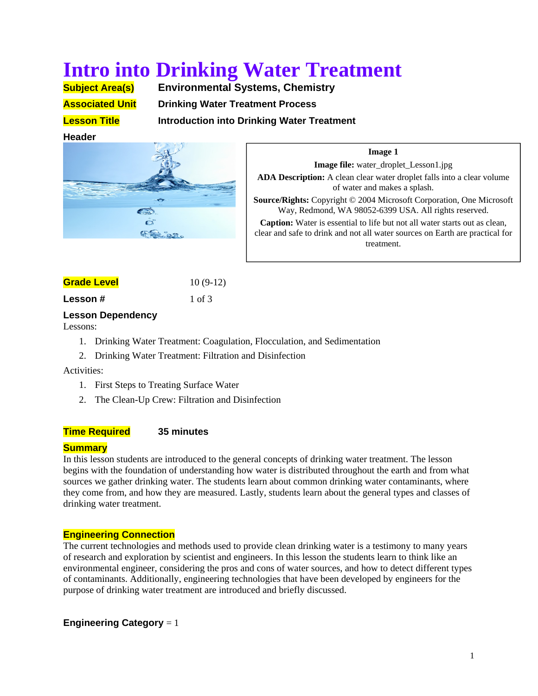# **Intro into Drinking Water Treatment**

**Subject Area(s) Environmental Systems, Chemistry Associated Unit Drinking Water Treatment Process** 

**Lesson Title Introduction into Drinking Water Treatment** 

## **Header**



**Image 1 Image file:** water\_droplet\_Lesson1.jpg **ADA Description:** A clean clear water droplet falls into a clear volume of water and makes a splash. **Source/Rights:** Copyright © 2004 Microsoft Corporation, One Microsoft Way, Redmond, WA 98052-6399 USA. All rights reserved. **Caption:** Water is essential to life but not all water starts out as clean, clear and safe to drink and not all water sources on Earth are practical for

treatment.

# **Grade Level** 10 (9-12)

**Lesson #** 1 of 3

# **Lesson Dependency**

Lessons:

- 1. Drinking Water Treatment: Coagulation, Flocculation, and Sedimentation
- 2. Drinking Water Treatment: Filtration and Disinfection

Activities:

- 1. First Steps to Treating Surface Water
- 2. The Clean-Up Crew: Filtration and Disinfection

## **Time Required 35 minutes**

## **Summary**

In this lesson students are introduced to the general concepts of drinking water treatment. The lesson begins with the foundation of understanding how water is distributed throughout the earth and from what sources we gather drinking water. The students learn about common drinking water contaminants, where they come from, and how they are measured. Lastly, students learn about the general types and classes of drinking water treatment.

# **Engineering Connection**

The current technologies and methods used to provide clean drinking water is a testimony to many years of research and exploration by scientist and engineers. In this lesson the students learn to think like an environmental engineer, considering the pros and cons of water sources, and how to detect different types of contaminants. Additionally, engineering technologies that have been developed by engineers for the purpose of drinking water treatment are introduced and briefly discussed.

**Engineering Category** = 1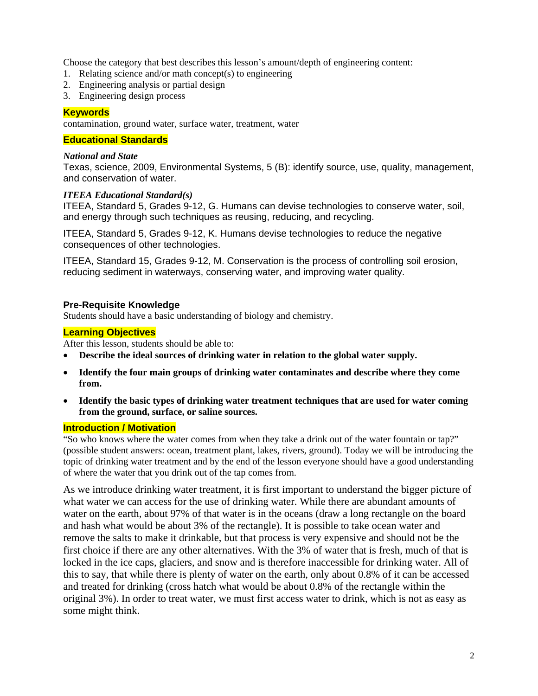Choose the category that best describes this lesson's amount/depth of engineering content:

- 1. Relating science and/or math concept(s) to engineering
- 2. Engineering analysis or partial design
- 3. Engineering design process

## **Keywords**

contamination, ground water, surface water, treatment, water

## **Educational Standards**

## *National and State*

Texas, science, 2009, Environmental Systems, 5 (B): identify source, use, quality, management, and conservation of water.

## *ITEEA Educational Standard(s)*

ITEEA, Standard 5, Grades 9-12, G. Humans can devise technologies to conserve water, soil, and energy through such techniques as reusing, reducing, and recycling.

ITEEA, Standard 5, Grades 9-12, K. Humans devise technologies to reduce the negative consequences of other technologies.

ITEEA, Standard 15, Grades 9-12, M. Conservation is the process of controlling soil erosion, reducing sediment in waterways, conserving water, and improving water quality.

## **Pre-Requisite Knowledge**

Students should have a basic understanding of biology and chemistry.

## **Learning Objectives**

After this lesson, students should be able to:

- **Describe the ideal sources of drinking water in relation to the global water supply.**
- **Identify the four main groups of drinking water contaminates and describe where they come from.**
- **Identify the basic types of drinking water treatment techniques that are used for water coming from the ground, surface, or saline sources.**

#### **Introduction / Motivation**

"So who knows where the water comes from when they take a drink out of the water fountain or tap?" (possible student answers: ocean, treatment plant, lakes, rivers, ground). Today we will be introducing the topic of drinking water treatment and by the end of the lesson everyone should have a good understanding of where the water that you drink out of the tap comes from.

As we introduce drinking water treatment, it is first important to understand the bigger picture of what water we can access for the use of drinking water. While there are abundant amounts of water on the earth, about 97% of that water is in the oceans (draw a long rectangle on the board and hash what would be about 3% of the rectangle). It is possible to take ocean water and remove the salts to make it drinkable, but that process is very expensive and should not be the first choice if there are any other alternatives. With the 3% of water that is fresh, much of that is locked in the ice caps, glaciers, and snow and is therefore inaccessible for drinking water. All of this to say, that while there is plenty of water on the earth, only about 0.8% of it can be accessed and treated for drinking (cross hatch what would be about 0.8% of the rectangle within the original 3%). In order to treat water, we must first access water to drink, which is not as easy as some might think.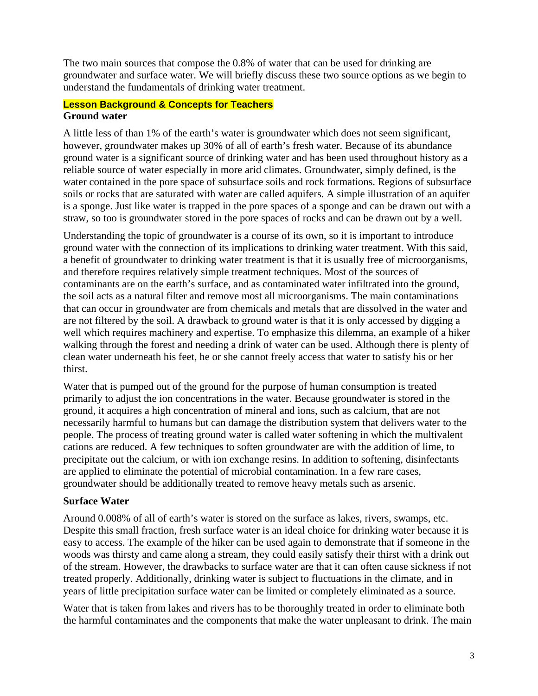The two main sources that compose the 0.8% of water that can be used for drinking are groundwater and surface water. We will briefly discuss these two source options as we begin to understand the fundamentals of drinking water treatment.

## **Lesson Background & Concepts for Teachers Ground water**

A little less of than 1% of the earth's water is groundwater which does not seem significant, however, groundwater makes up 30% of all of earth's fresh water. Because of its abundance ground water is a significant source of drinking water and has been used throughout history as a reliable source of water especially in more arid climates. Groundwater, simply defined, is the water contained in the pore space of subsurface soils and rock formations. Regions of subsurface soils or rocks that are saturated with water are called aquifers. A simple illustration of an aquifer is a sponge. Just like water is trapped in the pore spaces of a sponge and can be drawn out with a straw, so too is groundwater stored in the pore spaces of rocks and can be drawn out by a well.

Understanding the topic of groundwater is a course of its own, so it is important to introduce ground water with the connection of its implications to drinking water treatment. With this said, a benefit of groundwater to drinking water treatment is that it is usually free of microorganisms, and therefore requires relatively simple treatment techniques. Most of the sources of contaminants are on the earth's surface, and as contaminated water infiltrated into the ground, the soil acts as a natural filter and remove most all microorganisms. The main contaminations that can occur in groundwater are from chemicals and metals that are dissolved in the water and are not filtered by the soil. A drawback to ground water is that it is only accessed by digging a well which requires machinery and expertise. To emphasize this dilemma, an example of a hiker walking through the forest and needing a drink of water can be used. Although there is plenty of clean water underneath his feet, he or she cannot freely access that water to satisfy his or her thirst.

Water that is pumped out of the ground for the purpose of human consumption is treated primarily to adjust the ion concentrations in the water. Because groundwater is stored in the ground, it acquires a high concentration of mineral and ions, such as calcium, that are not necessarily harmful to humans but can damage the distribution system that delivers water to the people. The process of treating ground water is called water softening in which the multivalent cations are reduced. A few techniques to soften groundwater are with the addition of lime, to precipitate out the calcium, or with ion exchange resins. In addition to softening, disinfectants are applied to eliminate the potential of microbial contamination. In a few rare cases, groundwater should be additionally treated to remove heavy metals such as arsenic.

# **Surface Water**

Around 0.008% of all of earth's water is stored on the surface as lakes, rivers, swamps, etc. Despite this small fraction, fresh surface water is an ideal choice for drinking water because it is easy to access. The example of the hiker can be used again to demonstrate that if someone in the woods was thirsty and came along a stream, they could easily satisfy their thirst with a drink out of the stream. However, the drawbacks to surface water are that it can often cause sickness if not treated properly. Additionally, drinking water is subject to fluctuations in the climate, and in years of little precipitation surface water can be limited or completely eliminated as a source.

Water that is taken from lakes and rivers has to be thoroughly treated in order to eliminate both the harmful contaminates and the components that make the water unpleasant to drink. The main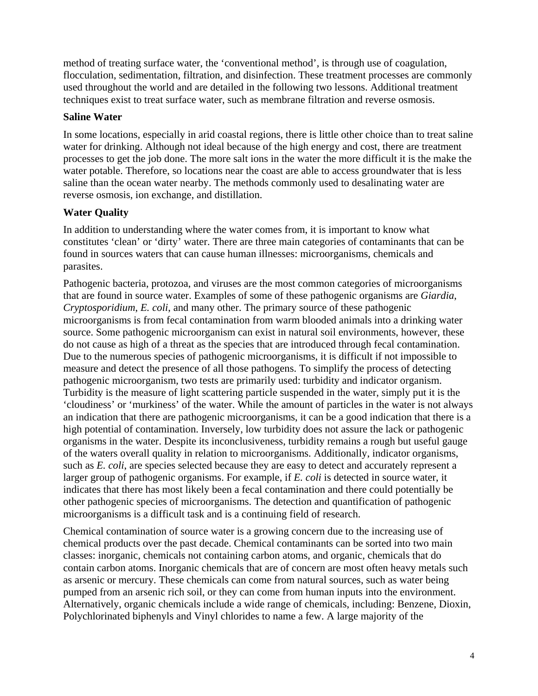method of treating surface water, the 'conventional method', is through use of coagulation, flocculation, sedimentation, filtration, and disinfection. These treatment processes are commonly used throughout the world and are detailed in the following two lessons. Additional treatment techniques exist to treat surface water, such as membrane filtration and reverse osmosis.

# **Saline Water**

In some locations, especially in arid coastal regions, there is little other choice than to treat saline water for drinking. Although not ideal because of the high energy and cost, there are treatment processes to get the job done. The more salt ions in the water the more difficult it is the make the water potable. Therefore, so locations near the coast are able to access groundwater that is less saline than the ocean water nearby. The methods commonly used to desalinating water are reverse osmosis, ion exchange, and distillation.

# **Water Quality**

In addition to understanding where the water comes from, it is important to know what constitutes 'clean' or 'dirty' water. There are three main categories of contaminants that can be found in sources waters that can cause human illnesses: microorganisms, chemicals and parasites.

Pathogenic bacteria, protozoa, and viruses are the most common categories of microorganisms that are found in source water. Examples of some of these pathogenic organisms are *Giardia*, *Cryptosporidium*, *E. coli*, and many other. The primary source of these pathogenic microorganisms is from fecal contamination from warm blooded animals into a drinking water source. Some pathogenic microorganism can exist in natural soil environments, however, these do not cause as high of a threat as the species that are introduced through fecal contamination. Due to the numerous species of pathogenic microorganisms, it is difficult if not impossible to measure and detect the presence of all those pathogens. To simplify the process of detecting pathogenic microorganism, two tests are primarily used: turbidity and indicator organism. Turbidity is the measure of light scattering particle suspended in the water, simply put it is the 'cloudiness' or 'murkiness' of the water. While the amount of particles in the water is not always an indication that there are pathogenic microorganisms, it can be a good indication that there is a high potential of contamination. Inversely, low turbidity does not assure the lack or pathogenic organisms in the water. Despite its inconclusiveness, turbidity remains a rough but useful gauge of the waters overall quality in relation to microorganisms. Additionally, indicator organisms, such as *E. coli*, are species selected because they are easy to detect and accurately represent a larger group of pathogenic organisms. For example, if *E. coli* is detected in source water, it indicates that there has most likely been a fecal contamination and there could potentially be other pathogenic species of microorganisms. The detection and quantification of pathogenic microorganisms is a difficult task and is a continuing field of research.

Chemical contamination of source water is a growing concern due to the increasing use of chemical products over the past decade. Chemical contaminants can be sorted into two main classes: inorganic, chemicals not containing carbon atoms, and organic, chemicals that do contain carbon atoms. Inorganic chemicals that are of concern are most often heavy metals such as arsenic or mercury. These chemicals can come from natural sources, such as water being pumped from an arsenic rich soil, or they can come from human inputs into the environment. Alternatively, organic chemicals include a wide range of chemicals, including: Benzene, Dioxin, Polychlorinated biphenyls and Vinyl chlorides to name a few. A large majority of the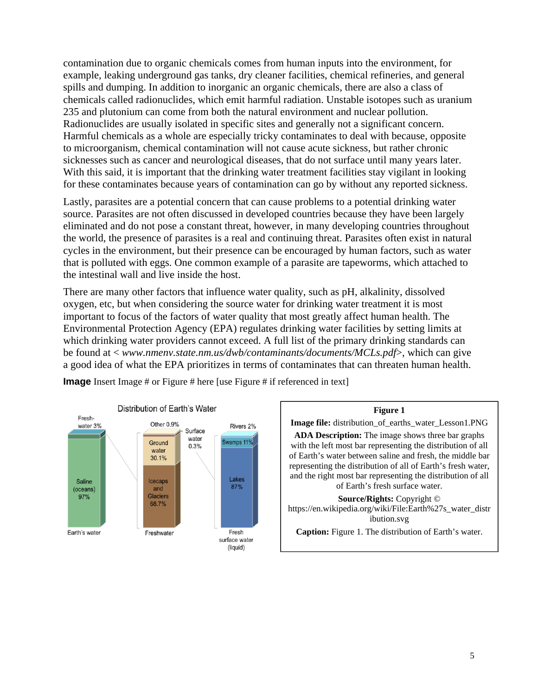contamination due to organic chemicals comes from human inputs into the environment, for example, leaking underground gas tanks, dry cleaner facilities, chemical refineries, and general spills and dumping. In addition to inorganic an organic chemicals, there are also a class of chemicals called radionuclides, which emit harmful radiation. Unstable isotopes such as uranium 235 and plutonium can come from both the natural environment and nuclear pollution. Radionuclides are usually isolated in specific sites and generally not a significant concern. Harmful chemicals as a whole are especially tricky contaminates to deal with because, opposite to microorganism, chemical contamination will not cause acute sickness, but rather chronic sicknesses such as cancer and neurological diseases, that do not surface until many years later. With this said, it is important that the drinking water treatment facilities stay vigilant in looking for these contaminates because years of contamination can go by without any reported sickness.

Lastly, parasites are a potential concern that can cause problems to a potential drinking water source. Parasites are not often discussed in developed countries because they have been largely eliminated and do not pose a constant threat, however, in many developing countries throughout the world, the presence of parasites is a real and continuing threat. Parasites often exist in natural cycles in the environment, but their presence can be encouraged by human factors, such as water that is polluted with eggs. One common example of a parasite are tapeworms, which attached to the intestinal wall and live inside the host.

There are many other factors that influence water quality, such as pH, alkalinity, dissolved oxygen, etc, but when considering the source water for drinking water treatment it is most important to focus of the factors of water quality that most greatly affect human health. The Environmental Protection Agency (EPA) regulates drinking water facilities by setting limits at which drinking water providers cannot exceed. A full list of the primary drinking standards can be found at < *www.nmenv.state.nm.us/dwb/contaminants/documents/MCLs.pdf*>, which can give a good idea of what the EPA prioritizes in terms of contaminates that can threaten human health.



**Image** Insert Image # or Figure # here [use Figure # if referenced in text]